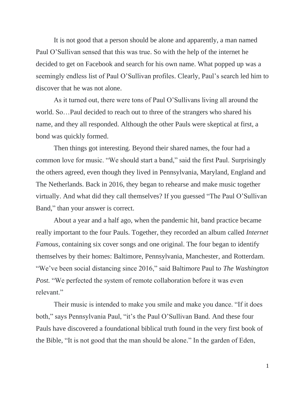It is not good that a person should be alone and apparently, a man named Paul O'Sullivan sensed that this was true. So with the help of the internet he decided to get on Facebook and search for his own name. What popped up was a seemingly endless list of Paul O'Sullivan profiles. Clearly, Paul's search led him to discover that he was not alone.

As it turned out, there were tons of Paul O'Sullivans living all around the world. So…Paul decided to reach out to three of the strangers who shared his name, and they all responded. Although the other Pauls were skeptical at first, a bond was quickly formed.

Then things got interesting. Beyond their shared names, the four had a common love for music. "We should start a band," said the first Paul. Surprisingly the others agreed, even though they lived in Pennsylvania, Maryland, England and The Netherlands. Back in 2016, they began to rehearse and make music together virtually. And what did they call themselves? If you guessed "The Paul O'Sullivan Band," than your answer is correct.

About a year and a half ago, when the pandemic hit, band practice became really important to the four Pauls. Together, they recorded an album called *Internet Famous*, containing six cover songs and one original. The four began to identify themselves by their homes: Baltimore, Pennsylvania, Manchester, and Rotterdam. "We've been social distancing since 2016," said Baltimore Paul to *The Washington Post.* "We perfected the system of remote collaboration before it was even relevant."

Their music is intended to make you smile and make you dance. "If it does both," says Pennsylvania Paul, "it's the Paul O'Sullivan Band. And these four Pauls have discovered a foundational biblical truth found in the very first book of the Bible, "It is not good that the man should be alone." In the garden of Eden,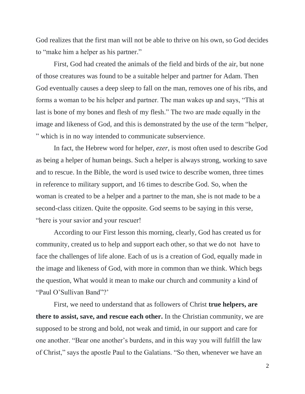God realizes that the first man will not be able to thrive on his own, so God decides to "make him a helper as his partner."

First, God had created the animals of the field and birds of the air, but none of those creatures was found to be a suitable helper and partner for Adam. Then God eventually causes a deep sleep to fall on the man, removes one of his ribs, and forms a woman to be his helper and partner. The man wakes up and says, "This at last is bone of my bones and flesh of my flesh." The two are made equally in the image and likeness of God, and this is demonstrated by the use of the term "helper, " which is in no way intended to communicate subservience.

In fact, the Hebrew word for helper, *ezer,* is most often used to describe God as being a helper of human beings. Such a helper is always strong, working to save and to rescue. In the Bible, the word is used twice to describe women, three times in reference to military support, and 16 times to describe God. So, when the woman is created to be a helper and a partner to the man, she is not made to be a second-class citizen. Quite the opposite. God seems to be saying in this verse, "here is your savior and your rescuer!

According to our First lesson this morning, clearly, God has created us for community, created us to help and support each other, so that we do not have to face the challenges of life alone. Each of us is a creation of God, equally made in the image and likeness of God, with more in common than we think. Which begs the question, What would it mean to make our church and community a kind of "Paul O'Sullivan Band"?"

First, we need to understand that as followers of Christ **true helpers, are there to assist, save, and rescue each other.** In the Christian community, we are supposed to be strong and bold, not weak and timid, in our support and care for one another. "Bear one another's burdens, and in this way you will fulfill the law of Christ," says the apostle Paul to the Galatians. "So then, whenever we have an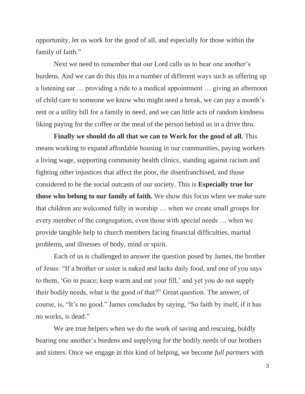opportunity, let us work for the good of all, and especially for those within the family of faith."

Next we need to remember that our Lord calls us to bear one another's burdens. And we can do this this in a number of different ways such as offering up a listening ear … providing a ride to a medical appointment … giving an afternoon of child care to someone we know who might need a break, we can pay a month's rent or a utility bill for a family in need, and we can little acts of random kindness liking paying for the coffee or the meal of the person behind us in a drive thru.

**Finally we should do all that we can to Work for the good of all.** This means working to expand affordable housing in our communities, paying workers a living wage, supporting community health clinics, standing against racism and fighting other injustices that affect the poor, the disenfranchised, and those considered to be the social outcasts of our society. This is **Especially true for those who belong to our family of faith.** We show this focus when we make sure that children are welcomed fully in worship … when we create small groups for every member of the congregation, even those with special needs … when we provide tangible help to church members facing financial difficulties, marital problems, and illnesses of body, mind or spirit.

Each of us is challenged to answer the question posed by James, the brother of Jesus: "If a brother or sister is naked and lacks daily food, and one of you says to them, 'Go in peace; keep warm and eat your fill,' and yet you do not supply their bodily needs, what is the good of that?" Great question. The answer, of course, is, "It's no good." James concludes by saying, "So faith by itself, if it has no works, is dead."

We are true helpers when we do the work of saving and rescuing, boldly bearing one another's burdens and supplying for the bodily needs of our brothers and sisters. Once we engage in this kind of helping, we become *full partners* with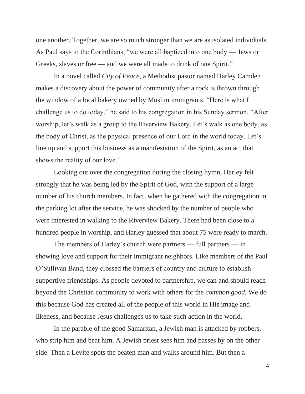one another. Together, we are so much stronger than we are as isolated individuals. As Paul says to the Corinthians, "we were all baptized into one body — Jews or Greeks, slaves or free — and we were all made to drink of one Spirit."

In a novel called *City of Peace,* a Methodist pastor named Harley Camden makes a discovery about the power of community after a rock is thrown through the window of a local bakery owned by Muslim immigrants. "Here is what I challenge us to do today," he said to his congregation in his Sunday sermon. "After worship, let's walk as a group to the Riverview Bakery. Let's walk as one body, as the body of Christ, as the physical presence of our Lord in the world today. Let's line up and support this business as a manifestation of the Spirit, as an act that shows the reality of our love."

Looking out over the congregation during the closing hymn, Harley felt strongly that he was being led by the Spirit of God, with the support of a large number of his church members. In fact, when he gathered with the congregation in the parking lot after the service, he was shocked by the number of people who were interested in walking to the Riverview Bakery. There had been close to a hundred people in worship, and Harley guessed that about 75 were ready to march.

The members of Harley's church were partners — full partners — in showing love and support for their immigrant neighbors. Like members of the Paul O'Sullivan Band, they crossed the barriers of country and culture to establish supportive friendships. As people devoted to partnership, we can and should reach beyond the Christian community to work with others for the *common good.* We do this because God has created all of the people of this world in His image and likeness, and because Jesus challenges us to take such action in the world.

In the parable of the good Samaritan, a Jewish man is attacked by robbers, who strip him and beat him. A Jewish priest sees him and passes by on the other side. Then a Levite spots the beaten man and walks around him. But then a

4